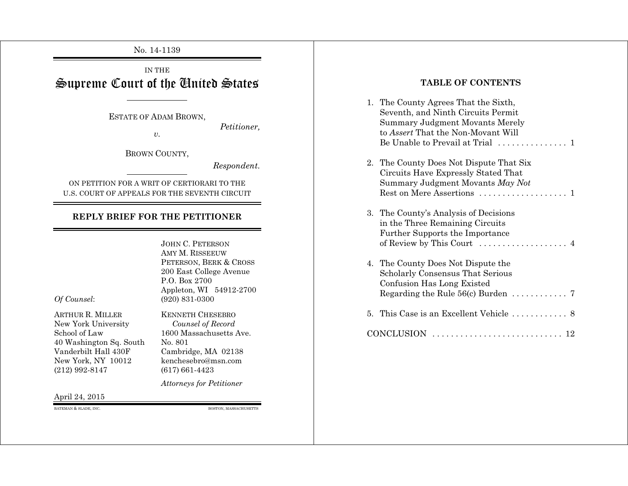No. 14-1139

IN THE Supreme Court of the United States

ESTATE OF ADAM BROWN,

*v.*

*Petitioner,*

BROWN COUNTY,

*Respondent.*

ON PETITION FOR A WRIT OF CERTIORARI TO THE U.S. COURT OF APPEALS FOR THE SEVENTH CIRCUIT

# **REPLY BRIEF FOR THE PETITIONER**

### JOHN C. PETERSON AMY M. RISSEEUW PETERSON, BERK & CROSS 200 East College Avenue P.O. Box 2700 Appleton, WI 54912-2700 *Of Counsel*: (920) 831-0300

ARTHUR R. MILLER KENNETH CHESEBRO New York University *Counsel of Record* 40 Washington Sq. South No. 801<br>Vanderbilt Hall 430F Cambrie New York, NY 10012 kenchesebro@msn.com<br>(212) 992-8147 (617) 661-4423 (212) 992-8147

School of Law 1600 Massachusetts Ave. Cambridge, MA 02138

*Attorneys for Petitioner*

#### April 24, 2015

BATEMAN & SLADE, INC. BOSTON, MASSACHUSETTS

# **TABLE OF CONTENTS**

|            | 1. The County Agrees That the Sixth,<br>Seventh, and Ninth Circuits Permit<br>Summary Judgment Movants Merely<br>to Assert That the Non-Movant Will<br>Be Unable to Prevail at Trial $\dots\dots\dots\dots\dots$<br>1 |  |
|------------|-----------------------------------------------------------------------------------------------------------------------------------------------------------------------------------------------------------------------|--|
|            | 2. The County Does Not Dispute That Six<br>Circuits Have Expressly Stated That<br>Summary Judgment Movants May Not<br>Rest on Mere Assertions                                                                         |  |
|            | 3. The County's Analysis of Decisions<br>in the Three Remaining Circuits<br>Further Supports the Importance<br>of Review by This Court                                                                                |  |
|            | 4. The County Does Not Dispute the<br><b>Scholarly Consensus That Serious</b><br>Confusion Has Long Existed                                                                                                           |  |
|            |                                                                                                                                                                                                                       |  |
| CONCLUSION |                                                                                                                                                                                                                       |  |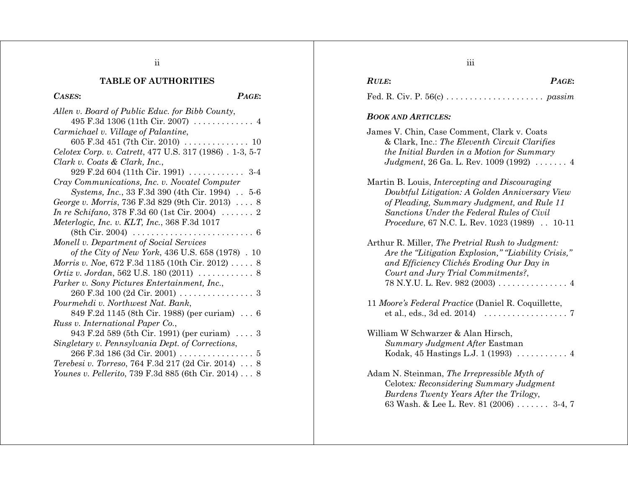# ii

# **TABLE OF AUTHORITIES**

# *CASES***:** *PAGE***:**

| Allen v. Board of Public Educ. for Bibb County,                       |
|-----------------------------------------------------------------------|
| 495 F.3d 1306 (11th Cir. 2007)  4                                     |
| Carmichael v. Village of Palantine,                                   |
|                                                                       |
| Celotex Corp. v. Catrett, 477 U.S. 317 (1986) . 1-3, 5-7              |
| Clark v. Coats & Clark, Inc.,                                         |
| $929$ F.2d 604 (11th Cir. 1991)  3-4                                  |
| Cray Communications, Inc. v. Novatel Computer                         |
| Systems, Inc., 33 F.3d 390 (4th Cir. 1994) 5-6                        |
| George v. Morris, 736 F.3d 829 (9th Cir. 2013)  8                     |
| <i>In re Schifano</i> , 378 F.3d 60 (1st Cir. 2004) $\ldots \ldots$ 2 |
| Meterlogic, Inc. v. KLT, Inc., 368 F.3d 1017                          |
|                                                                       |
| Monell v. Department of Social Services                               |
| of the City of New York, 436 U.S. 658 (1978). 10                      |
| <i>Morris v. Noe</i> , 672 F.3d 1185 (10th Cir. 2012)  8              |
|                                                                       |
| Parker v. Sony Pictures Entertainment, Inc.,                          |
| $260$ F.3d 100 (2d Cir. 2001) 3                                       |
| Pourmehdi v. Northwest Nat. Bank,                                     |
| 849 F.2d 1145 (8th Cir. 1988) (per curiam) 6                          |
| Russ v. International Paper Co.,                                      |
| 943 F.2d 589 (5th Cir. 1991) (per curiam)  3                          |
| Singletary v. Pennsylvania Dept. of Corrections,                      |
| $266$ F.3d 186 (3d Cir. 2001) 5                                       |
| Terebesi v. Torreso, 764 F.3d 217 (2d Cir. 2014)  8                   |
| Younes v. Pellerito, 739 F.3d 885 (6th Cir. 2014) 8                   |
|                                                                       |

| <b>RULE:</b><br>PAGE:                                                                                                                                                                                                                               |
|-----------------------------------------------------------------------------------------------------------------------------------------------------------------------------------------------------------------------------------------------------|
|                                                                                                                                                                                                                                                     |
| <b>BOOK AND ARTICLES:</b>                                                                                                                                                                                                                           |
| James V. Chin, Case Comment, Clark v. Coats<br>& Clark, Inc.: The Eleventh Circuit Clarifies<br>the Initial Burden in a Motion for Summary<br>Judgment, 26 Ga. L. Rev. 1009 (1992)  4                                                               |
| Martin B. Louis, <i>Intercepting and Discouraging</i><br>Doubtful Litigation: A Golden Anniversary View<br>of Pleading, Summary Judgment, and Rule 11<br>Sanctions Under the Federal Rules of Civil<br>Procedure, 67 N.C. L. Rev. 1023 (1989) 10-11 |
| Arthur R. Miller, The Pretrial Rush to Judgment:<br>Are the "Litigation Explosion," "Liability Crisis,"<br>and Efficiency Clichés Eroding Our Day in<br>Court and Jury Trial Commitments?,<br>78 N.Y.U. L. Rev. 982 (2003) 4                        |
| 11 Moore's Federal Practice (Daniel R. Coquillette,<br>et al., eds., 3d ed. 2014) $\ldots \ldots \ldots \ldots \ldots \ldots$                                                                                                                       |
| William W Schwarzer & Alan Hirsch,<br>Summary Judgment After Eastman                                                                                                                                                                                |
| Adam N. Steinman, The Irrepressible Myth of<br>Celotex: Reconsidering Summary Judgment<br>Burdens Twenty Years After the Trilogy,<br>63 Wash. & Lee L. Rev. 81 (2006)  3-4, 7                                                                       |

iii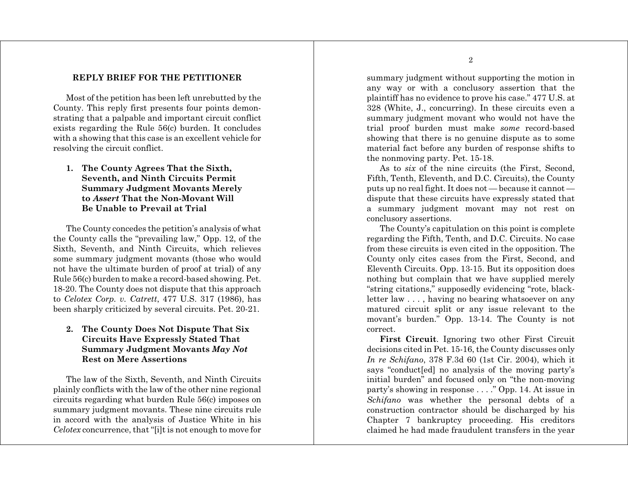### **REPLY BRIEF FOR THE PETITIONER**

Most of the petition has been left unrebutted by the County. This reply first presents four points demonstrating that a palpable and important circuit conflict exists regarding the Rule 56(c) burden. It concludes with a showing that this case is an excellent vehicle for resolving the circuit conflict.

**1. The County Agrees That the Sixth, Seventh, and Ninth Circuits Permit Summary Judgment Movants Merely to** *Assert* **That the Non-Movant Will Be Unable to Prevail at Trial**

The County concedes the petition's analysis of what the County calls the "prevailing law," Opp. 12, of the Sixth, Seventh, and Ninth Circuits, which relieves some summary judgment movants (those who would not have the ultimate burden of proof at trial) of any Rule 56(c) burden to make a record-based showing. Pet. 18-20. The County does not dispute that this approach to *Celotex Corp. v. Catrett*, 477 U.S. 317 (1986), has been sharply criticized by several circuits. Pet. 20-21.

## **2. The County Does Not Dispute That Six Circuits Have Expressly Stated That Summary Judgment Movants** *May Not* **Rest on Mere Assertions**

The law of the Sixth, Seventh, and Ninth Circuits plainly conflicts with the law of the other nine regional circuits regarding what burden Rule 56(c) imposes on summary judgment movants. These nine circuits rule in accord with the analysis of Justice White in his *Celotex* concurrence, that "[i]t is not enough to move for summary judgment without supporting the motion in any way or with a conclusory assertion that the plaintiff has no evidence to prove his case." 477 U.S. at 328 (White, J., concurring). In these circuits even a summary judgment movant who would not have the trial proof burden must make *some* record-based showing that there is no genuine dispute as to some material fact before any burden of response shifts to the nonmoving party. Pet. 15-18.

As to *six* of the nine circuits (the First, Second, Fifth, Tenth, Eleventh, and D.C. Circuits), the County puts up no real fight. It does not — because it cannot dispute that these circuits have expressly stated that a summary judgment movant may not rest on conclusory assertions.

The County's capitulation on this point is complete regarding the Fifth, Tenth, and D.C. Circuits. No case from these circuits is even cited in the opposition. The County only cites cases from the First, Second, and Eleventh Circuits. Opp. 13-15. But its opposition does nothing but complain that we have supplied merely "string citations," supposedly evidencing "rote, blackletter law . . . , having no bearing whatsoever on any matured circuit split or any issue relevant to the movant's burden." Opp. 13-14. The County is not correct.

**First Circuit**. Ignoring two other First Circuit decisions cited in Pet. 15-16, the County discusses only *In re Schifano*, 378 F.3d 60 (1st Cir. 2004), which it says "conduct[ed] no analysis of the moving party's initial burden" and focused only on "the non-moving party's showing in response . . . ." Opp. 14. At issue in *Schifano* was whether the personal debts of a construction contractor should be discharged by his Chapter 7 bankruptcy proceeding. His creditors claimed he had made fraudulent transfers in the year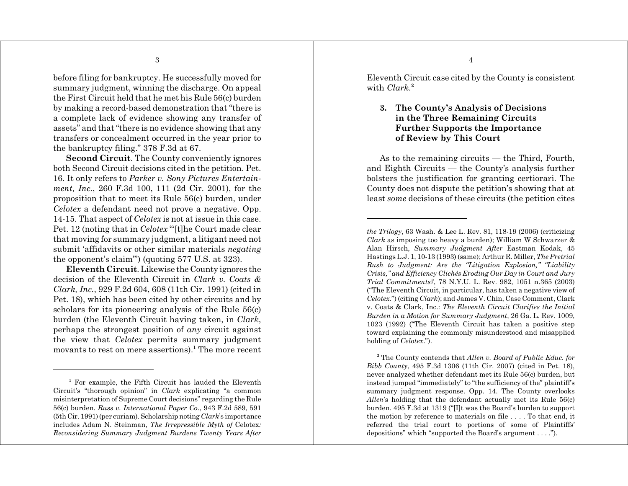before filing for bankruptcy. He successfully moved for summary judgment, winning the discharge. On appeal the First Circuit held that he met his Rule 56(c) burden by making a record-based demonstration that "there is a complete lack of evidence showing any transfer of assets" and that "there is no evidence showing that any transfers or concealment occurred in the year prior to the bankruptcy filing." 378 F.3d at 67.

**Second Circuit**. The County conveniently ignores both Second Circuit decisions cited in the petition. Pet. 16. It only refers to *Parker v. Sony Pictures Entertainment, Inc.*, 260 F.3d 100, 111 (2d Cir. 2001), for the proposition that to meet its Rule 56(c) burden, under *Celotex* a defendant need not prove a negative. Opp. 14-15. That aspect of *Celotex* is not at issue in this case. Pet. 12 (noting that in *Celotex* "'[t]he Court made clear that moving for summary judgment, a litigant need not submit 'affidavits or other similar materials *negating* the opponent's claim'") (quoting 577 U.S. at 323).

**Eleventh Circuit**. Likewise the County ignores the decision of the Eleventh Circuit in *Clark v. Coats & Clark, Inc.*, 929 F.2d 604, 608 (11th Cir. 1991) (cited in Pet. 18), which has been cited by other circuits and by scholars for its pioneering analysis of the Rule 56(c) burden (the Eleventh Circuit having taken, in *Clark*, perhaps the strongest position of *any* circuit against the view that *Celotex* permits summary judgment movants to rest on mere assertions).**<sup>1</sup>** The more recent Eleventh Circuit case cited by the County is consistent with *Clark*. **2**

# **3. The County's Analysis of Decisions in the Three Remaining Circuits Further Supports the Importance of Review by This Court**

As to the remaining circuits — the Third, Fourth, and Eighth Circuits — the County's analysis further bolsters the justification for granting certiorari. The County does not dispute the petition's showing that at least *some* decisions of these circuits (the petition cites

**<sup>2</sup>** The County contends that *Allen v. Board of Public Educ. for Bibb County*, 495 F.3d 1306 (11th Cir. 2007) (cited in Pet. 18), never analyzed whether defendant met its Rule 56(c) burden, but instead jumped "immediately" to "the sufficiency of the" plaintiff's summary judgment response. Opp. 14. The County overlooks *Allen*'s holding that the defendant actually met its Rule 56(c) burden. 495 F.3d at 1319 ("[I]t was the Board's burden to support the motion by reference to materials on file . . . . To that end, it referred the trial court to portions of some of Plaintiffs' depositions" which "supported the Board's argument . . . .").

**<sup>1</sup>** For example, the Fifth Circuit has lauded the Eleventh Circuit's "thorough opinion" in *Clark* explicating "a common misinterpretation of Supreme Court decisions" regarding the Rule 56(c) burden. *Russ v. International Paper Co.*, 943 F.2d 589, 591 (5th Cir. 1991) (per curiam). Scholarship noting *Clark*'s importance includes Adam N. Steinman, *The Irrepressible Myth of* Celotex*: Reconsidering Summary Judgment Burdens Twenty Years After*

*the Trilogy*, 63 Wash. & Lee L. Rev. 81, 118-19 (2006) (criticizing *Clark* as imposing too heavy a burden); William W Schwarzer & Alan Hirsch, *Summary Judgment After* Eastman Kodak, 45 Hastings L.J. 1, 10-13 (1993) (same); Arthur R. Miller, *The Pretrial Rush to Judgment: Are the "Litigation Explosion," "Liability Crisis," and Efficiency Clichés Eroding Our Day in Court and Jury Trial Commitments?*, 78 N.Y.U. L. Rev. 982, 1051 n.365 (2003) ("The Eleventh Circuit, in particular, has taken a negative view of *Celotex*.") (citing *Clark*); and James V. Chin, Case Comment, Clark v. Coats & Clark, Inc.: *The Eleventh Circuit Clarifies the Initial Burden in a Motion for Summary Judgment*, 26 Ga. L. Rev. 1009, 1023 (1992) ("The Eleventh Circuit has taken a positive step toward explaining the commonly misunderstood and misapplied holding of *Celotex*.").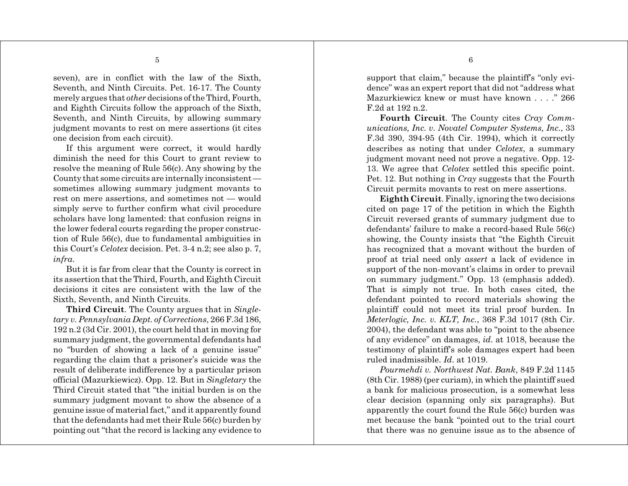seven), are in conflict with the law of the Sixth, Seventh, and Ninth Circuits. Pet. 16-17. The County merely argues that *other* decisions of the Third, Fourth, and Eighth Circuits follow the approach of the Sixth, Seventh, and Ninth Circuits, by allowing summary judgment movants to rest on mere assertions (it cites one decision from each circuit).

If this argument were correct, it would hardly diminish the need for this Court to grant review to resolve the meaning of Rule 56(c). Any showing by the County that some circuits are internally inconsistent sometimes allowing summary judgment movants to rest on mere assertions, and sometimes not — would simply serve to further confirm what civil procedure scholars have long lamented: that confusion reigns in the lower federal courts regarding the proper construction of Rule 56(c), due to fundamental ambiguities in this Court's *Celotex* decision. Pet. 3-4 n.2; see also p. 7, *infra*.

But it is far from clear that the County is correct in its assertion that the Third, Fourth, and Eighth Circuit decisions it cites are consistent with the law of the Sixth, Seventh, and Ninth Circuits.

**Third Circuit**. The County argues that in *Singletary v. Pennsylvania Dept. of Corrections*, 266 F.3d 186, 192 n.2 (3d Cir. 2001), the court held that in moving for summary judgment, the governmental defendants had no "burden of showing a lack of a genuine issue" regarding the claim that a prisoner's suicide was the result of deliberate indifference by a particular prison official (Mazurkiewicz). Opp. 12. But in *Singletary* the Third Circuit stated that "the initial burden is on the summary judgment movant to show the absence of a genuine issue of material fact," and it apparently found that the defendants had met their Rule 56(c) burden by pointing out "that the record is lacking any evidence to support that claim," because the plaintiff's "only evidence" was an expert report that did not "address what Mazurkiewicz knew or must have known . . . ." 266 F.2d at 192 n.2.

**Fourth Circuit**. The County cites *Cray Communications, Inc. v. Novatel Computer Systems, Inc.*, 33 F.3d 390, 394-95 (4th Cir. 1994), which it correctly describes as noting that under *Celotex*, a summary judgment movant need not prove a negative. Opp. 12- 13. We agree that *Celotex* settled this specific point. Pet. 12. But nothing in *Cray* suggests that the Fourth Circuit permits movants to rest on mere assertions.

**Eighth Circuit**. Finally, ignoring the two decisions cited on page 17 of the petition in which the Eighth Circuit reversed grants of summary judgment due to defendants' failure to make a record-based Rule 56(c) showing, the County insists that "the Eighth Circuit has recognized that a movant without the burden of proof at trial need only *assert* a lack of evidence in support of the non-movant's claims in order to prevail on summary judgment." Opp. 13 (emphasis added). That is simply not true. In both cases cited, the defendant pointed to record materials showing the plaintiff could not meet its trial proof burden. In *Meterlogic, Inc. v. KLT, Inc.*, 368 F.3d 1017 (8th Cir. 2004), the defendant was able to "point to the absence of any evidence" on damages, *id*. at 1018, because the testimony of plaintiff's sole damages expert had been ruled inadmissible. *Id*. at 1019.

*Pourmehdi v. Northwest Nat. Bank*, 849 F.2d 1145 (8th Cir. 1988) (per curiam), in which the plaintiff sued a bank for malicious prosecution, is a somewhat less clear decision (spanning only six paragraphs). But apparently the court found the Rule 56(c) burden was met because the bank "pointed out to the trial court that there was no genuine issue as to the absence of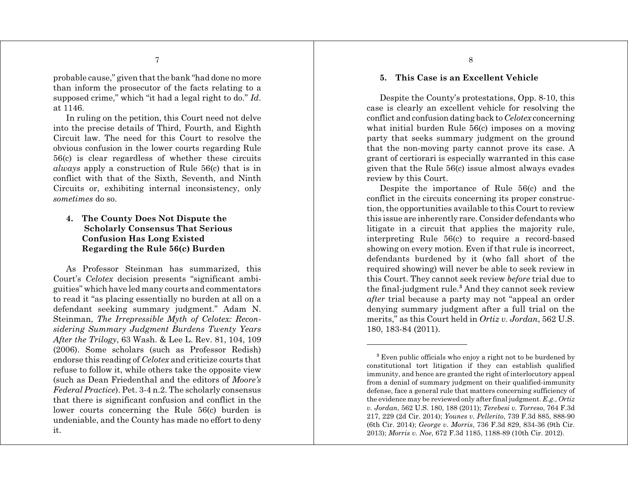probable cause," given that the bank "had done no more than inform the prosecutor of the facts relating to a supposed crime," which "it had a legal right to do." *Id*. at 1146.

In ruling on the petition, this Court need not delve into the precise details of Third, Fourth, and Eighth Circuit law. The need for this Court to resolve the obvious confusion in the lower courts regarding Rule 56(c) is clear regardless of whether these circuits *always* apply a construction of Rule 56(c) that is in conflict with that of the Sixth, Seventh, and Ninth Circuits or, exhibiting internal inconsistency, only *sometimes* do so.

# **4. The County Does Not Dispute the Scholarly Consensus That Serious Confusion Has Long Existed Regarding the Rule 56(c) Burden**

As Professor Steinman has summarized, this Court's *Celotex* decision presents "significant ambiguities" which have led many courts and commentators to read it "as placing essentially no burden at all on a defendant seeking summary judgment." Adam N. Steinman, *The Irrepressible Myth of Celotex: Reconsidering Summary Judgment Burdens Twenty Years After the Trilogy*, 63 Wash. & Lee L. Rev. 81, 104, 109 (2006). Some scholars (such as Professor Redish) endorse this reading of *Celotex* and criticize courts that refuse to follow it, while others take the opposite view (such as Dean Friedenthal and the editors of *Moore's Federal Practice*). Pet. 3-4 n.2. The scholarly consensus that there is significant confusion and conflict in the lower courts concerning the Rule 56(c) burden is undeniable, and the County has made no effort to deny it.

8

### **5. This Case is an Excellent Vehicle**

Despite the County's protestations, Opp. 8-10, this case is clearly an excellent vehicle for resolving the conflict and confusion dating back to *Celotex* concerning what initial burden Rule 56(c) imposes on a moving party that seeks summary judgment on the ground that the non-moving party cannot prove its case. A grant of certiorari is especially warranted in this case given that the Rule 56(c) issue almost always evades review by this Court.

Despite the importance of Rule 56(c) and the conflict in the circuits concerning its proper construction, the opportunities available to this Court to review this issue are inherently rare. Consider defendants who litigate in a circuit that applies the majority rule, interpreting Rule 56(c) to require a record-based showing on every motion. Even if that rule is incorrect, defendants burdened by it (who fall short of the required showing) will never be able to seek review in this Court. They cannot seek review *before* trial due to the final-judgment rule.**<sup>3</sup>** And they cannot seek review *after* trial because a party may not "appeal an order denying summary judgment after a full trial on the merits," as this Court held in *Ortiz v. Jordan*, 562 U.S. 180, 183-84 (2011).

**<sup>3</sup>** Even public officials who enjoy a right not to be burdened by constitutional tort litigation if they can establish qualified immunity, and hence are granted the right of interlocutory appeal from a denial of summary judgment on their qualified-immunity defense, face a general rule that matters concerning sufficiency of the evidence may be reviewed only after final judgment. *E.g.*, *Ortiz v. Jordan*, 562 U.S. 180, 188 (2011); *Terebesi v. Torreso*, 764 F.3d 217, 229 (2d Cir. 2014); *Younes v. Pellerito*, 739 F.3d 885, 888-90 (6th Cir. 2014); *George v. Morris*, 736 F.3d 829, 834-36 (9th Cir. 2013); *Morris v. Noe*, 672 F.3d 1185, 1188-89 (10th Cir. 2012).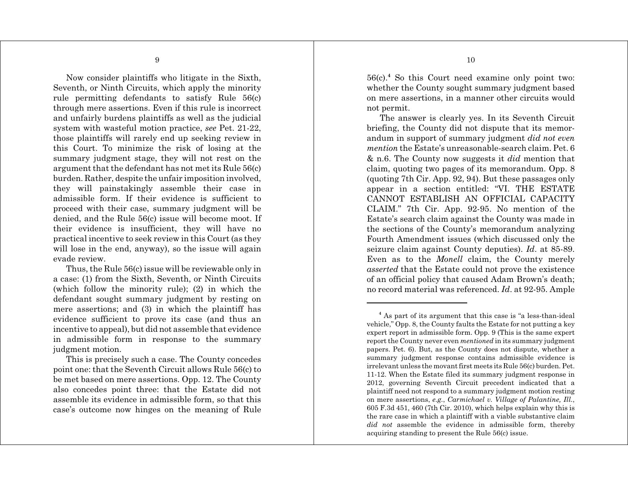Now consider plaintiffs who litigate in the Sixth, Seventh, or Ninth Circuits, which apply the minority rule permitting defendants to satisfy Rule 56(c) through mere assertions. Even if this rule is incorrect and unfairly burdens plaintiffs as well as the judicial system with wasteful motion practice, *see* Pet. 21-22, those plaintiffs will rarely end up seeking review in this Court. To minimize the risk of losing at the summary judgment stage, they will not rest on the argument that the defendant has not met its Rule 56(c) burden. Rather, despite the unfair imposition involved, they will painstakingly assemble their case in admissible form. If their evidence is sufficient to proceed with their case, summary judgment will be denied, and the Rule 56(c) issue will become moot. If their evidence is insufficient, they will have no practical incentive to seek review in this Court (as they will lose in the end, anyway), so the issue will again evade review.

Thus, the Rule 56(c) issue will be reviewable only in a case: (1) from the Sixth, Seventh, or Ninth Circuits (which follow the minority rule); (2) in which the defendant sought summary judgment by resting on mere assertions; and (3) in which the plaintiff has evidence sufficient to prove its case (and thus an incentive to appeal), but did not assemble that evidence in admissible form in response to the summary judgment motion.

This is precisely such a case. The County concedes point one: that the Seventh Circuit allows Rule 56(c) to be met based on mere assertions. Opp. 12. The County also concedes point three: that the Estate did not assemble its evidence in admissible form, so that this case's outcome now hinges on the meaning of Rule 56(c).**<sup>4</sup>** So this Court need examine only point two: whether the County sought summary judgment based on mere assertions, in a manner other circuits would not permit.

The answer is clearly yes. In its Seventh Circuit briefing, the County did not dispute that its memorandum in support of summary judgment *did not even mention* the Estate's unreasonable-search claim. Pet. 6 & n.6. The County now suggests it *did* mention that claim, quoting two pages of its memorandum. Opp. 8 (quoting 7th Cir. App. 92, 94). But these passages only appear in a section entitled: "VI. THE ESTATE CANNOT ESTABLISH AN OFFICIAL CAPACITY CLAIM." 7th Cir. App. 92-95. No mention of the Estate's search claim against the County was made in the sections of the County's memorandum analyzing Fourth Amendment issues (which discussed only the seizure claim against County deputies). *Id*. at 85-89. Even as to the *Monell* claim, the County merely *asserted* that the Estate could not prove the existence of an official policy that caused Adam Brown's death; no record material was referenced. *Id*. at 92-95. Ample

**<sup>4</sup>** As part of its argument that this case is "a less-than-ideal vehicle," Opp. 8, the County faults the Estate for not putting a key expert report in admissible form. Opp. 9 (This is the same expert report the County never even *mentioned* in its summary judgment papers. Pet. 6). But, as the County does not dispute, whether a summary judgment response contains admissible evidence is irrelevant unless the movant first meets its Rule 56(c) burden. Pet. 11-12. When the Estate filed its summary judgment response in 2012, governing Seventh Circuit precedent indicated that a plaintiff need not respond to a summary judgment motion resting on mere assertions, *e.g.*, *Carmichael v. Village of Palantine, Ill.*, 605 F.3d 451, 460 (7th Cir. 2010), which helps explain why this is the rare case in which a plaintiff with a viable substantive claim *did not* assemble the evidence in admissible form, thereby acquiring standing to present the Rule 56(c) issue.